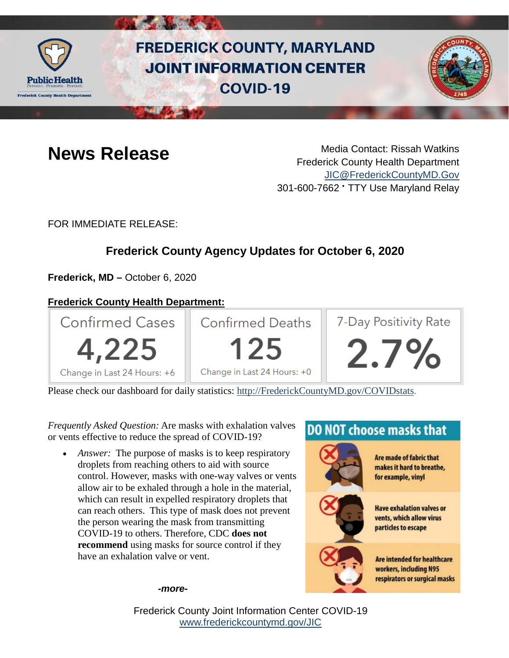

# **FREDERICK COUNTY, MARYLAND JOINT INFORMATION CENTER COVID-19**



**News Release** Media Contact: Rissah Watkins Frederick County Health Department [JIC@FrederickCountyMD.Gov](mailto:JIC@FrederickCountyMD.Gov) 301-600-7662 • TTY Use Maryland Relay

FOR IMMEDIATE RELEASE:

# **Frederick County Agency Updates for October 6, 2020**

**Frederick, MD –** October 6, 2020

### **Frederick County Health Department:**



Please check our dashboard for daily statistics: [http://FrederickCountyMD.gov/COVIDstats.](http://frederickcountymd.gov/COVIDstats)

*Frequently Asked Question:* Are masks with exhalation valves or vents effective to reduce the spread of COVID-19?

*Answer:* The purpose of masks is to keep respiratory droplets from reaching others to aid with source control. However, masks with one-way valves or vents allow air to be exhaled through a hole in the material, which can result in expelled respiratory droplets that can reach others. This type of mask does not prevent the person wearing the mask from transmitting COVID-19 to others. Therefore, CDC **does not recommend** using masks for source control if they have an exhalation valve or vent.

# **DO NOT choose masks that**



Are made of fabric that makes it hard to breathe, for example, vinyl



**Have exhalation valves or** vents, which allow virus particles to escape



**Are intended for healthcare** workers, including N95 respirators or surgical masks

*-more-*

Frederick County Joint Information Center COVID-19 [www.frederickcountymd.gov/JIC](https://frederickcountymd.gov/JIC)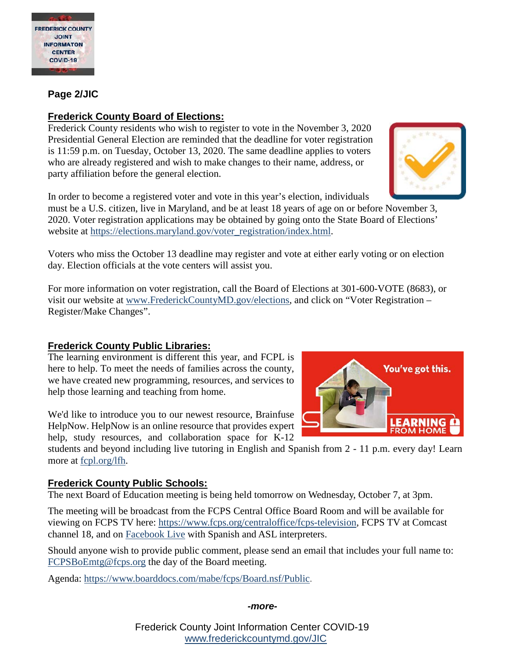

#### **Page 2/JIC**

#### **Frederick County Board of Elections:**

Frederick County residents who wish to register to vote in the November 3, 2020 Presidential General Election are reminded that the deadline for voter registration is 11:59 p.m. on Tuesday, October 13, 2020. The same deadline applies to voters who are already registered and wish to make changes to their name, address, or party affiliation before the general election.

In order to become a registered voter and vote in this year's election, individuals

must be a U.S. citizen, live in Maryland, and be at least 18 years of age on or before November 3, 2020. Voter registration applications may be obtained by going onto the State Board of Elections' website at [https://elections.maryland.gov/voter\\_registration/index.html.](https://elections.maryland.gov/voter_registration/index.html)

Voters who miss the October 13 deadline may register and vote at either early voting or on election day. Election officials at the vote centers will assist you.

For more information on voter registration, call the Board of Elections at 301-600-VOTE (8683), or visit our website at [www.FrederickCountyMD.gov/elections,](http://www.frederickcountymd.gov/elections) and click on "Voter Registration – Register/Make Changes".

#### **Frederick County Public Libraries:**

The learning environment is different this year, and FCPL is here to help. To meet the needs of families across the county, we have created new programming, resources, and services to help those learning and teaching from home.

We'd like to introduce you to our newest resource, Brainfuse HelpNow. HelpNow is an online resource that provides expert help, study resources, and collaboration space for K-12

students and beyond including live tutoring in English and Spanish from 2 - 11 p.m. every day! Learn more at [fcpl.org/lfh.](http://fcpl.org/lfh?fbclid=IwAR2M-i63NG-k5rJCNdjm_k230y14aatpUQpf-iJnQDKJ6ZstHMxYxJxHbeE)

#### **Frederick County Public Schools:**

The next Board of Education meeting is being held tomorrow on Wednesday, October 7, at 3pm.

The meeting will be broadcast from the FCPS Central Office Board Room and will be available for viewing on FCPS TV here: [https://www.fcps.org/centraloffice/fcps-television,](https://www.fcps.org/centraloffice/fcps-television?fbclid=IwAR1ImE1FGECShtZSReAFhiyH2c_bf7m9TmXrcxFGf2v1kHGRBYYJrexsZR8) FCPS TV at Comcast channel 18, and on [Facebook Live](https://www.facebook.com/FCPSMaryland) with Spanish and ASL interpreters.

Should anyone wish to provide public comment, please send an email that includes your full name to: [FCPSBoEmtg@fcps.org](mailto:FCPSBoEmtg@fcps.org) the day of the Board meeting.

Agenda: [https://www.boarddocs.com/mabe/fcps/Board.nsf/Public.](https://www.boarddocs.com/mabe/fcps/Board.nsf/Public?fbclid=IwAR1Qj2A2XqJ3ETg-Ez4dK0PXeNfN1aUCQKvGvFu0bSxgJPRDM7IZclYQoeI)

#### *-more-*

Frederick County Joint Information Center COVID-19 [www.frederickcountymd.gov/JIC](https://frederickcountymd.gov/JIC)